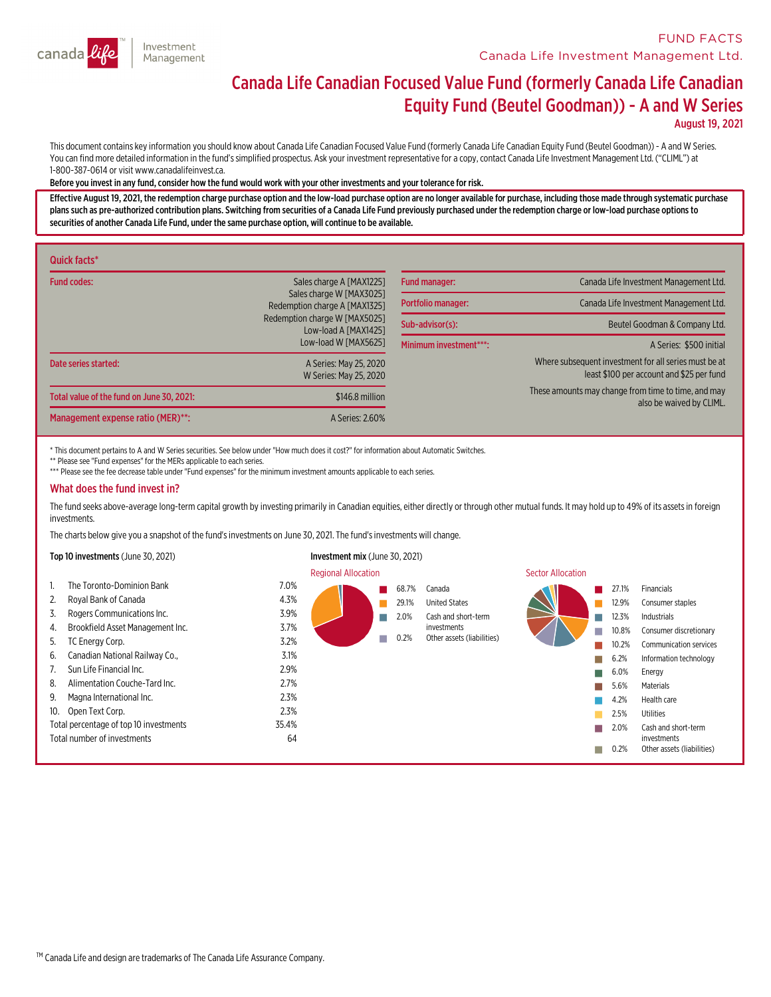

# Canada Life Canadian Focused Value Fund (formerly Canada Life Canadian Equity Fund (Beutel Goodman)) - <sup>A</sup> and <sup>W</sup> Series

August 19, 2021

This document contains key information you should know about Canada Life Canadian Focused Value Fund (formerly Canada Life Canadian Equity Fund (Beutel Goodman)) - A and W Series.<br>You can find more detailed information in 1-800-387-0614 or visit www.canadalifeinvest.ca.

#### Before you invest in any fund,consider how the fund would work with your other investments and your tolerance for risk.

Effective August 19, 2021, the redemption charge purchase option and the low-load purchase option are no longer available for purchase, including those made through systematic purchase<br>plans such as pre-authorized contribu securities of another Canada Life Fund, under the same purchase option, will continue to be available.

| Quick facts*                              |                                                           |                        |                                                                                                    |  |
|-------------------------------------------|-----------------------------------------------------------|------------------------|----------------------------------------------------------------------------------------------------|--|
| <b>Fund codes:</b>                        | Sales charge A [MAX1225]                                  | <b>Fund manager:</b>   | Canada Life Investment Management Ltd.                                                             |  |
|                                           | Sales charge W [MAX3025]<br>Redemption charge A [MAX1325] | Portfolio manager:     | Canada Life Investment Management Ltd.                                                             |  |
|                                           | Redemption charge W [MAX5025]<br>Low-load A [MAX1425]     | Sub-advisor(s):        | Beutel Goodman & Company Ltd.                                                                      |  |
|                                           | Low-load W [MAX5625]                                      | Minimum investment***: | A Series: \$500 initial                                                                            |  |
| Date series started:                      | A Series: May 25, 2020<br>W Series: May 25, 2020          |                        | Where subsequent investment for all series must be at<br>least \$100 per account and \$25 per fund |  |
| Total value of the fund on June 30, 2021: | \$146.8 million                                           |                        | These amounts may change from time to time, and may<br>also be waived by CLIML.                    |  |
| Management expense ratio (MER)**:         | A Series: 2.60%                                           |                        |                                                                                                    |  |

\* This document pertains to A and W Series securities. See below under "How much does it cost?" for information about Automatic Switches.

\*\* Please see "Fund expenses" for the MERs applicable to each series.

\*\*\* Please see the fee decrease table under "Fund expenses" for the minimum investment amounts applicable to each series.

#### What does the fund invest in?

The fund seeks above-average long-term capital growth by investing primarily in Canadian equities, either directly or through other mutual funds. It may hold up to 49% of its assets in foreign investments.

The charts below give you a snapshot of the fund's investments on June 30, 2021. The fund's investments will change.

|     | Top 10 investments (June 30, 2021)     |       | Investment mix (June 30, 2021) |       |                            |                   |       |                            |
|-----|----------------------------------------|-------|--------------------------------|-------|----------------------------|-------------------|-------|----------------------------|
|     |                                        |       | <b>Regional Allocation</b>     |       |                            | Sector Allocation |       |                            |
|     | The Toronto-Dominion Bank              | 7.0%  |                                | 68.7% | Canada                     |                   | 27.1% | Financials                 |
| 2.  | Royal Bank of Canada                   | 4.3%  |                                | 29.1% | <b>United States</b>       |                   | 12.9% | Consumer staples           |
| 3.  | Rogers Communications Inc.             | 3.9%  |                                | 2.0%  | Cash and short-term        |                   | 12.3% | <b>Industrials</b>         |
| 4.  | Brookfield Asset Management Inc.       | 3.7%  |                                |       | investments                |                   | 10.8% | Consumer discretionary     |
| 5.  | TC Energy Corp.                        | 3.2%  |                                | 0.2%  | Other assets (liabilities) |                   | 10.2% | Communication services     |
| 6.  | Canadian National Railway Co.,         | 3.1%  |                                |       |                            |                   | 6.2%  | Information technology     |
|     | Sun Life Financial Inc.                | 2.9%  |                                |       |                            |                   | 6.0%  | Energy                     |
| 8.  | Alimentation Couche-Tard Inc.          | 2.7%  |                                |       |                            |                   | 5.6%  | Materials                  |
| 9.  | Magna International Inc.               | 2.3%  |                                |       |                            |                   | 4.2%  | Health care                |
| 10. | Open Text Corp.                        | 2.3%  |                                |       |                            |                   | 2.5%  | Utilities                  |
|     | Total percentage of top 10 investments | 35.4% |                                |       |                            |                   | 2.0%  | Cash and short-term        |
|     | Total number of investments            | 64    |                                |       |                            |                   |       | investments                |
|     |                                        |       |                                |       |                            |                   | 0.2%  | Other assets (liabilities) |

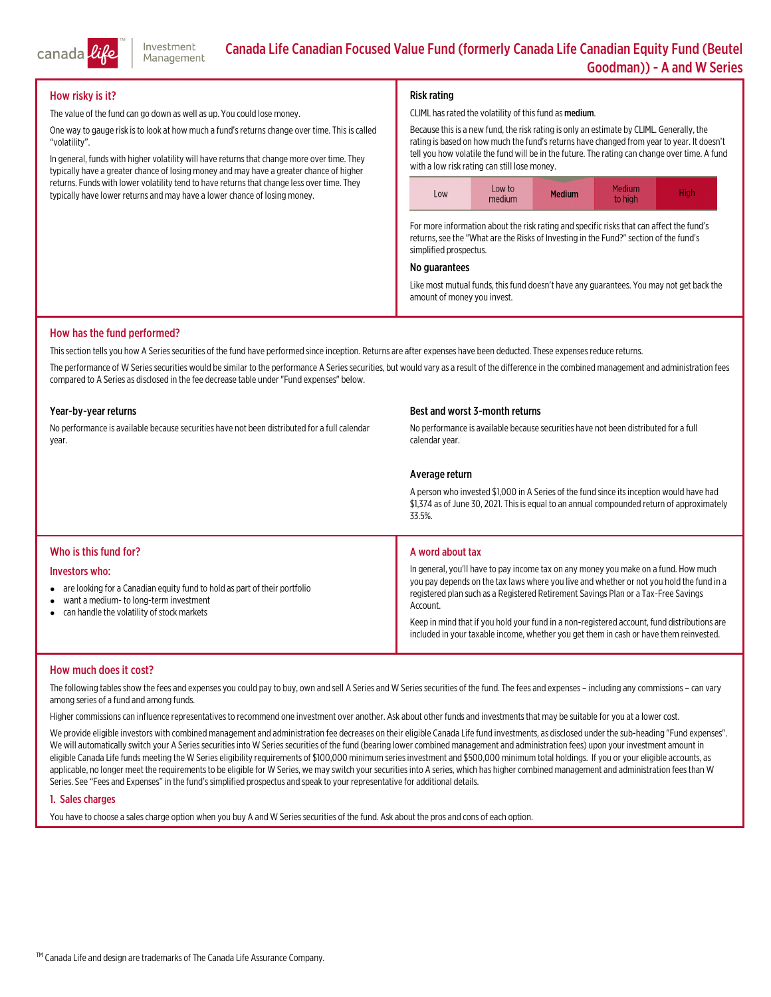

#### How risky is it?

The value of the fund can go down as well as up. You could lose money.

One way to gauge risk is to look at how much a fund's returns change over time. This is called "volatility".

In general, funds with higher volatility will have returns that change more over time. They typically have a greater chance of losing money and may have a greater chance of higher returns. Funds with lower volatility tend to have returns that change less over time. They typically have lower returns and may have a lower chance of losing money.

#### Risk rating

CLIML has rated the volatility of this fund as medium.

Because thisis a new fund, the risk rating is only an estimate by CLIML. Generally, the rating is based on how much the fund's returns have changed from year to year. It doesn't tell you how volatile the fund will be in the future. The rating can change over time. <sup>A</sup> fund with <sup>a</sup> low risk rating can still lose money.



For more information about the risk rating and specific risks that can affect the fund's returns, see the "What are the Risks of Investing in the Fund?" section of the fund's simplified prospectus.

#### No guarantees

Like most mutual funds, this fund doesn't have any guarantees. You may not get back the amount of money you invest.

#### How has the fund performed?

This section tells you how A Series securities of the fund have performed since inception. Returns are after expenses have been deducted. These expenses reduce returns.

The performance of W Series securities would be similar to the performance A Series securities, but would vary as a result of the difference in the combined management and administration fees compared to A Series as disclosed in the fee decrease table under "Fund expenses" below.

#### Year-by-year returns

No performance is available because securities have not been distributed for a full calendar<br>vear.

#### Best and worst 3-month returns

No performance is available because securities have not been distributed for a full calendar year.

#### Average return

A person who invested \$1,000 in A Series of the fund since its inception would have had<br>\$1,374 as of June 30, 2021. This is equal to an annual compounded return of approximately<br>33.5%.

#### Who is this fund for?

#### Investors who:

- are looking for a Canadian equity fund to hold as part of their portfolio
- $\bullet$ want a medium- to long-terminvestment
- can handle the volatility of stock markets

#### A word about tax

In general, you'll have to pay income tax on any money you make on <sup>a</sup> fund. How much you pay depends on the tax laws where you live and whether or not you hold the fund in <sup>a</sup> registered plan such as a Registered Retirement Savings Plan or a Tax-Free Savings<br>Account.

Keep in mind that if you hold your fund in a non-registered account, fund distributions are included in your taxable income, whether you get them in cash or have them reinvested.

#### How much does it cost?

The following tables show the fees and expenses you could pay to buy, own and sell A Series and W Series securities of the fund. The fees and expenses – including any commissions – can vary<br>among series of a fund and among

Higher commissions can influence representatives to recommend one investment over another. Ask about other funds and investments that may be suitable for you at a lower cost.

We provide eligible investors with combined management and administration fee decreases on their eligible Canada Life fund investments, as disclosed under the sub-heading "Fund expenses".<br>We will automatically switch your

#### 1. Sales charges

You have to choose a sales charge option when you buy A and W Series securities of the fund. Ask about the pros and cons of each option.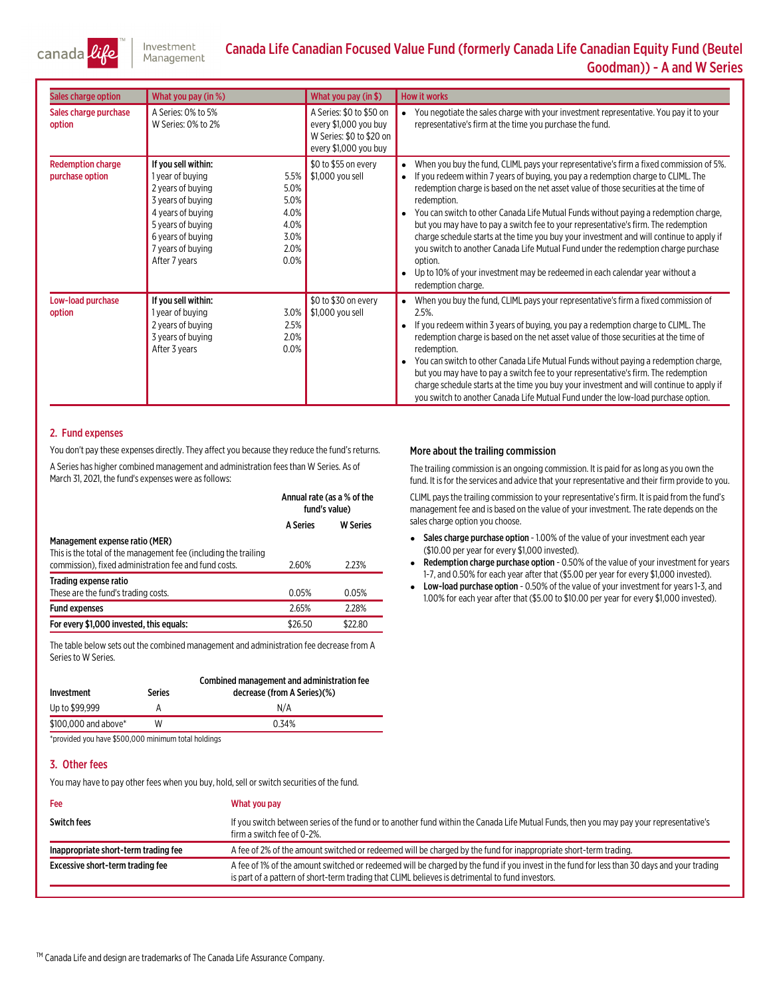

## Canada Life Canadian Focused Value Fund (formerly Canada Life Canadian Equity Fund (Beutel<br>Goodman)) - A and W Series

| Sales charge option                         | What you pay (in %)                                                                                                                                                                                                                                    | What you pay (in \$)                                                                                   | <b>How it works</b>                                                                                                                                                                                                                                                                                                                                                                                                                                                                                                                                                                                                                                                                                                                                                 |
|---------------------------------------------|--------------------------------------------------------------------------------------------------------------------------------------------------------------------------------------------------------------------------------------------------------|--------------------------------------------------------------------------------------------------------|---------------------------------------------------------------------------------------------------------------------------------------------------------------------------------------------------------------------------------------------------------------------------------------------------------------------------------------------------------------------------------------------------------------------------------------------------------------------------------------------------------------------------------------------------------------------------------------------------------------------------------------------------------------------------------------------------------------------------------------------------------------------|
| Sales charge purchase<br>option             | A Series: 0% to 5%<br>W Series: 0% to 2%                                                                                                                                                                                                               | A Series: \$0 to \$50 on<br>every \$1,000 you buy<br>W Series: \$0 to \$20 on<br>every \$1,000 you buy | You negotiate the sales charge with your investment representative. You pay it to your<br>representative's firm at the time you purchase the fund.                                                                                                                                                                                                                                                                                                                                                                                                                                                                                                                                                                                                                  |
| <b>Redemption charge</b><br>purchase option | If you sell within:<br>1 year of buying<br>5.5%<br>5.0%<br>2 years of buying<br>5.0%<br>3 years of buying<br>4.0%<br>4 years of buying<br>4.0%<br>5 years of buying<br>3.0%<br>6 years of buying<br>2.0%<br>7 years of buying<br>0.0%<br>After 7 years | \$0 to \$55 on every<br>\$1,000 you sell                                                               | When you buy the fund, CLIML pays your representative's firm a fixed commission of 5%.<br>If you redeem within 7 years of buying, you pay a redemption charge to CLIML. The<br>redemption charge is based on the net asset value of those securities at the time of<br>redemption.<br>You can switch to other Canada Life Mutual Funds without paying a redemption charge,<br>but you may have to pay a switch fee to your representative's firm. The redemption<br>charge schedule starts at the time you buy your investment and will continue to apply if<br>you switch to another Canada Life Mutual Fund under the redemption charge purchase<br>option.<br>Up to 10% of your investment may be redeemed in each calendar year without a<br>redemption charge. |
| Low-load purchase<br>option                 | If you sell within:<br>3.0%<br>1 year of buying<br>2 years of buying<br>2.5%<br>2.0%<br>3 years of buying<br>0.0%<br>After 3 years                                                                                                                     | \$0 to \$30 on every<br>$\frac{1}{2}$ \$1,000 you sell                                                 | When you buy the fund, CLIML pays your representative's firm a fixed commission of<br>2.5%.<br>If you redeem within 3 years of buying, you pay a redemption charge to CLIML. The<br>redemption charge is based on the net asset value of those securities at the time of<br>redemption.<br>You can switch to other Canada Life Mutual Funds without paying a redemption charge,<br>but you may have to pay a switch fee to your representative's firm. The redemption<br>charge schedule starts at the time you buy your investment and will continue to apply if<br>you switch to another Canada Life Mutual Fund under the low-load purchase option.                                                                                                              |

#### 2. Fund expenses

You don't pay these expenses directly. They affect you because they reduce the fund's returns. A Series has higher combined management and administration fees than W Series. As of March 31, 2021, the fund's expenses were as follows:

|                                                                                                                                                            | Annual rate (as a % of the<br>fund's value) |                 |
|------------------------------------------------------------------------------------------------------------------------------------------------------------|---------------------------------------------|-----------------|
|                                                                                                                                                            | <b>A Series</b>                             | <b>W</b> Series |
| Management expense ratio (MER)<br>This is the total of the management fee (including the trailing<br>commission), fixed administration fee and fund costs. | 2.60%                                       | 2.23%           |
| Trading expense ratio<br>These are the fund's trading costs.                                                                                               | 0.05%                                       | 0.05%           |
| <b>Fund expenses</b>                                                                                                                                       | 2.65%                                       | 2.28%           |
| For every \$1,000 invested, this equals:                                                                                                                   | \$26.50                                     | \$22.80         |

The table below sets out the combined management and administration fee decrease from A Series.

| Investment           | <b>Series</b> | Combined management and administration fee<br>decrease (from A Series)(%) |
|----------------------|---------------|---------------------------------------------------------------------------|
| Up to \$99.999       |               | N/A                                                                       |
| \$100,000 and above* | w             | 0.34%                                                                     |

\*provided you have \$500,000 minimum total holdings

#### 3. Other fees

You may have to pay other fees when you buy, hold, sell or switch securities of the fund.

| Fee                                  | What you pay                                                                                                                                                                                                                                    |
|--------------------------------------|-------------------------------------------------------------------------------------------------------------------------------------------------------------------------------------------------------------------------------------------------|
| <b>Switch fees</b>                   | If you switch between series of the fund or to another fund within the Canada Life Mutual Funds, then you may pay your representative's<br>firm a switch fee of 0-2%.                                                                           |
| Inappropriate short-term trading fee | A fee of 2% of the amount switched or redeemed will be charged by the fund for inappropriate short-term trading.                                                                                                                                |
| Excessive short-term trading fee     | A fee of 1% of the amount switched or redeemed will be charged by the fund if you invest in the fund for less than 30 days and your trading<br>is part of a pattern of short-term trading that CLIML believes is detrimental to fund investors. |

#### More about the trailing commission

The trailing commission is an ongoing commission. It is paid for aslong as you own the fund. It is for the services and advice that your representative and their firm provide to you.

CLIML paysthe trailing commission to your representative'sfirm. It is paid fromthe fund's management fee and is based on the value of your investment. The rate depends on the sales charge option you choose.

- Sales charge purchase option 1.00% of the value of your investment each year (\$10.00 per year for every \$1,000 invested).
- e Redemption charge purchase option - 0.50% of the value of your investment for years 1-7, and 0.50% for each year after that (\$5.00 per year for every \$1,000 invested).
- Low-load purchase option 0.50% of the value of your investment for years 1-3, and 1.00% for each year after that (\$5.00 to \$10.00 per year for every \$1,000 invested).